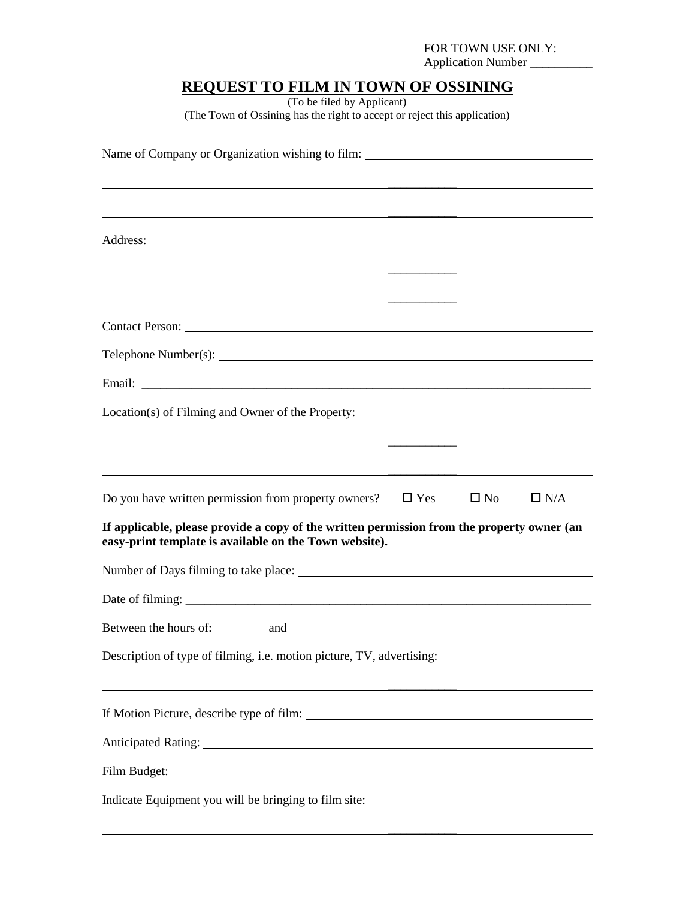## FOR TOWN USE ONLY:

Application Number \_\_\_\_\_\_\_\_\_\_

# **REQUEST TO FILM IN TOWN OF OSSINING**

(To be filed by Applicant) (The Town of Ossining has the right to accept or reject this application)

| Name of Company or Organization wishing to film: ________________________________                                                                    |  |  |  |
|------------------------------------------------------------------------------------------------------------------------------------------------------|--|--|--|
|                                                                                                                                                      |  |  |  |
|                                                                                                                                                      |  |  |  |
|                                                                                                                                                      |  |  |  |
| <u> 1989 - Andrea Barbara, Amerikaansk politiker (* 1905)</u>                                                                                        |  |  |  |
|                                                                                                                                                      |  |  |  |
|                                                                                                                                                      |  |  |  |
|                                                                                                                                                      |  |  |  |
|                                                                                                                                                      |  |  |  |
| Location(s) of Filming and Owner of the Property: _______________________________                                                                    |  |  |  |
|                                                                                                                                                      |  |  |  |
|                                                                                                                                                      |  |  |  |
| Do you have written permission from property owners?<br>$\Box$ Yes<br>$\Box$ No<br>$\Box$ N/A                                                        |  |  |  |
| If applicable, please provide a copy of the written permission from the property owner (an<br>easy-print template is available on the Town website). |  |  |  |
|                                                                                                                                                      |  |  |  |
|                                                                                                                                                      |  |  |  |
|                                                                                                                                                      |  |  |  |
| Description of type of filming, i.e. motion picture, TV, advertising:                                                                                |  |  |  |
| <u> 1989 - Johann Stoff, deutscher Stoff, der Stoff, der Stoff, der Stoff, der Stoff, der Stoff, der Stoff, der S</u>                                |  |  |  |
|                                                                                                                                                      |  |  |  |
|                                                                                                                                                      |  |  |  |
|                                                                                                                                                      |  |  |  |
| Indicate Equipment you will be bringing to film site: ___________________________                                                                    |  |  |  |
|                                                                                                                                                      |  |  |  |